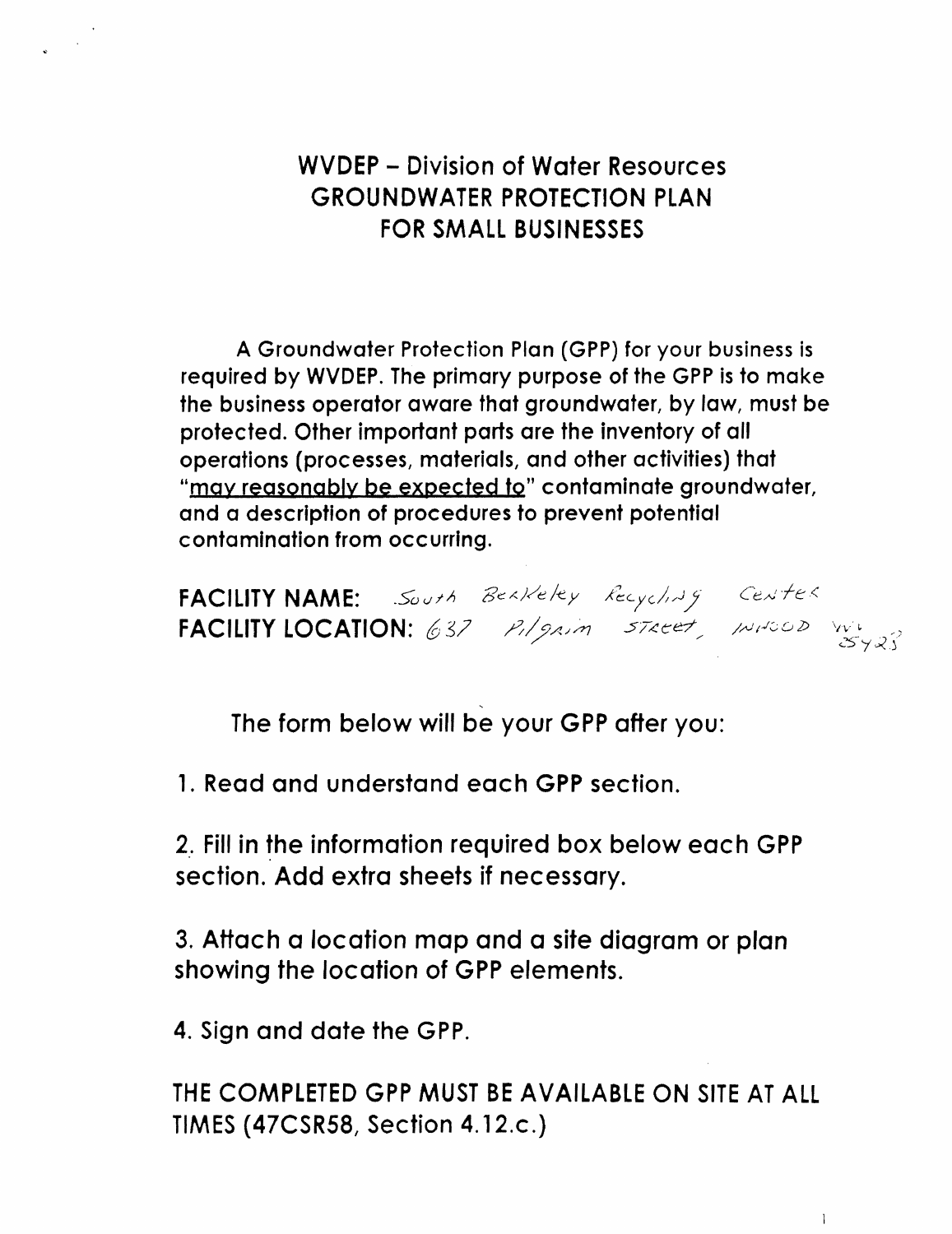WVDEP - Division of Water Resources GROUNDWATER PROTECTION PLAN FOR SMALL BUSINESSES

A Groundwater Protection Plan (GPP) for your business is required by WVDEP. The primary purpose of the GPP is to make the business operator aware that groundwater, by law, must be protected. Other important parts are the inventory of all operations (processes, materials, and other activities) that "may reasonably be expected to" contaminate groundwater, and a description of procedures to prevent potential contamination from occurring.

FACILITY NAME: .South Bekkeley Recycling FACILITY LOCATION: 637 P./gain 57ecet, INPOOD WA

 $\ddot{\phantom{0}}$ The form below will be your GPP after you:

1. Read and understand each GPP section.

2.. Fill in the information required box below each GPP section. Add extra sheets if necessary.

3. Attach a location map and a site diagram or plan showing the location of GPP elements.

4. Sign and date the GPP.

THE COMPLETED GPP MUST BE AVAILABLE ON SITE AT ALL TIMES (47CSR58, Section 4.12.c.)

 $\mathbb{R}$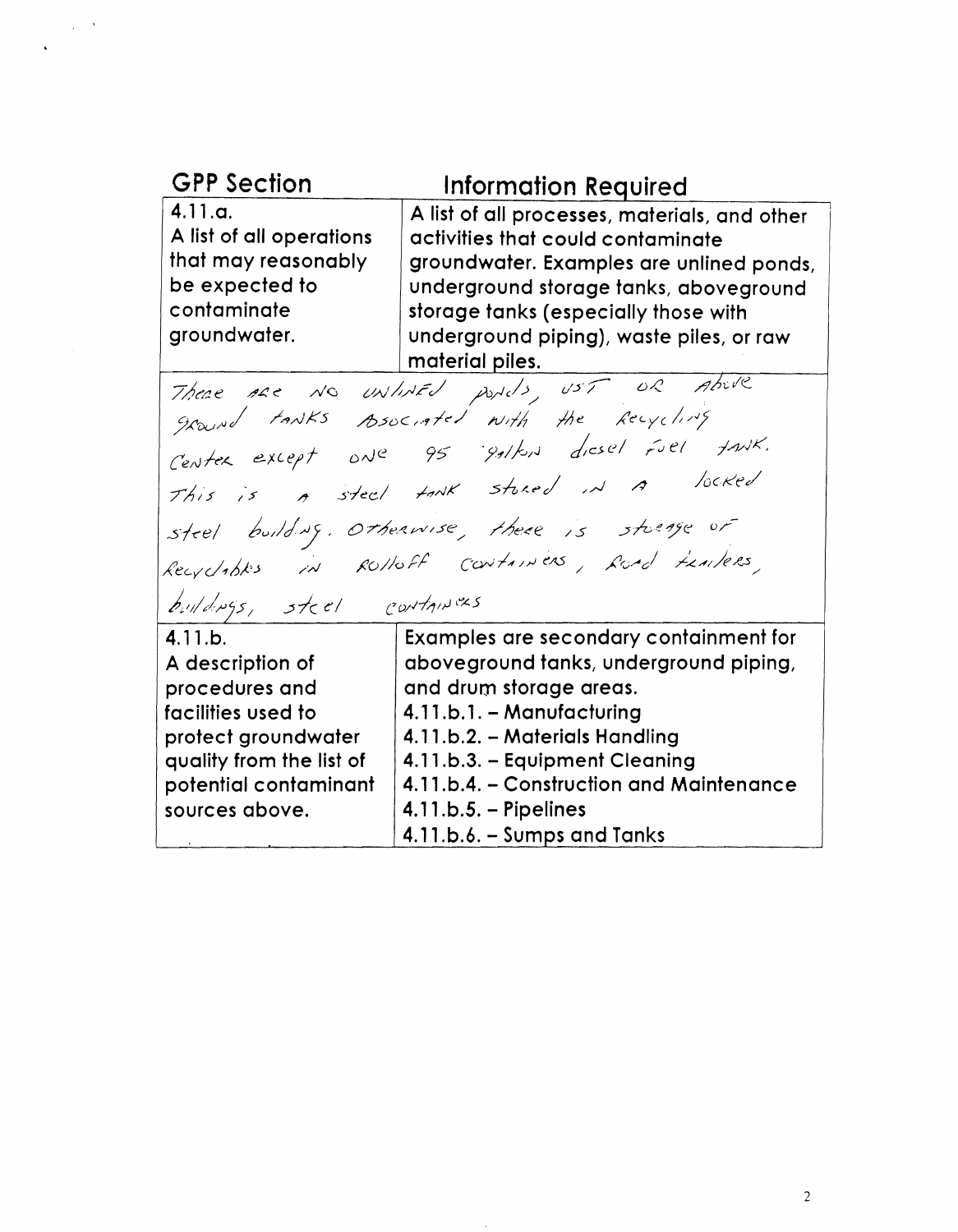| <b>GPP Section</b>                                                                                          | <b>Information Required</b>                                                                                                                                                                                                                                                     |
|-------------------------------------------------------------------------------------------------------------|---------------------------------------------------------------------------------------------------------------------------------------------------------------------------------------------------------------------------------------------------------------------------------|
| 4.11.a.<br>A list of all operations<br>that may reasonably<br>be expected to<br>contaminate<br>groundwater. | A list of all processes, materials, and other<br>activities that could contaminate<br>groundwater. Examples are unlined ponds,<br>underground storage tanks, aboveground<br>storage tanks (especially those with<br>underground piping), waste piles, or raw<br>material piles. |
|                                                                                                             | There are NO UNINED pords, UST OR Above                                                                                                                                                                                                                                         |

ground tanks Asociated with the Recycling<br>Center except one 95 gallon dicsel fuel fank. This is a steel tank stored in a locked steel building. Otherwise, there is storage of Recycloptes in ROHOFF CONTAINERS, Road FRAITERS, buildings, steel containers

4.11.b. A description of procedures and

Examples are secondary containment for aboveground tanks, underground piping, and drum storage areas.

| facilities used to       | 4.11.b.1. - Manufacturing                |
|--------------------------|------------------------------------------|
| protect groundwater      | 4.11.b.2. - Materials Handling           |
| quality from the list of | 4.11.b.3. - Equipment Cleaning           |
| potential contaminant    | 4.11.b.4. – Construction and Maintenance |
| sources above.           | $4.11.b.5. - Pipelines$                  |
|                          | 4.11.b.6. - Sumps and Tanks              |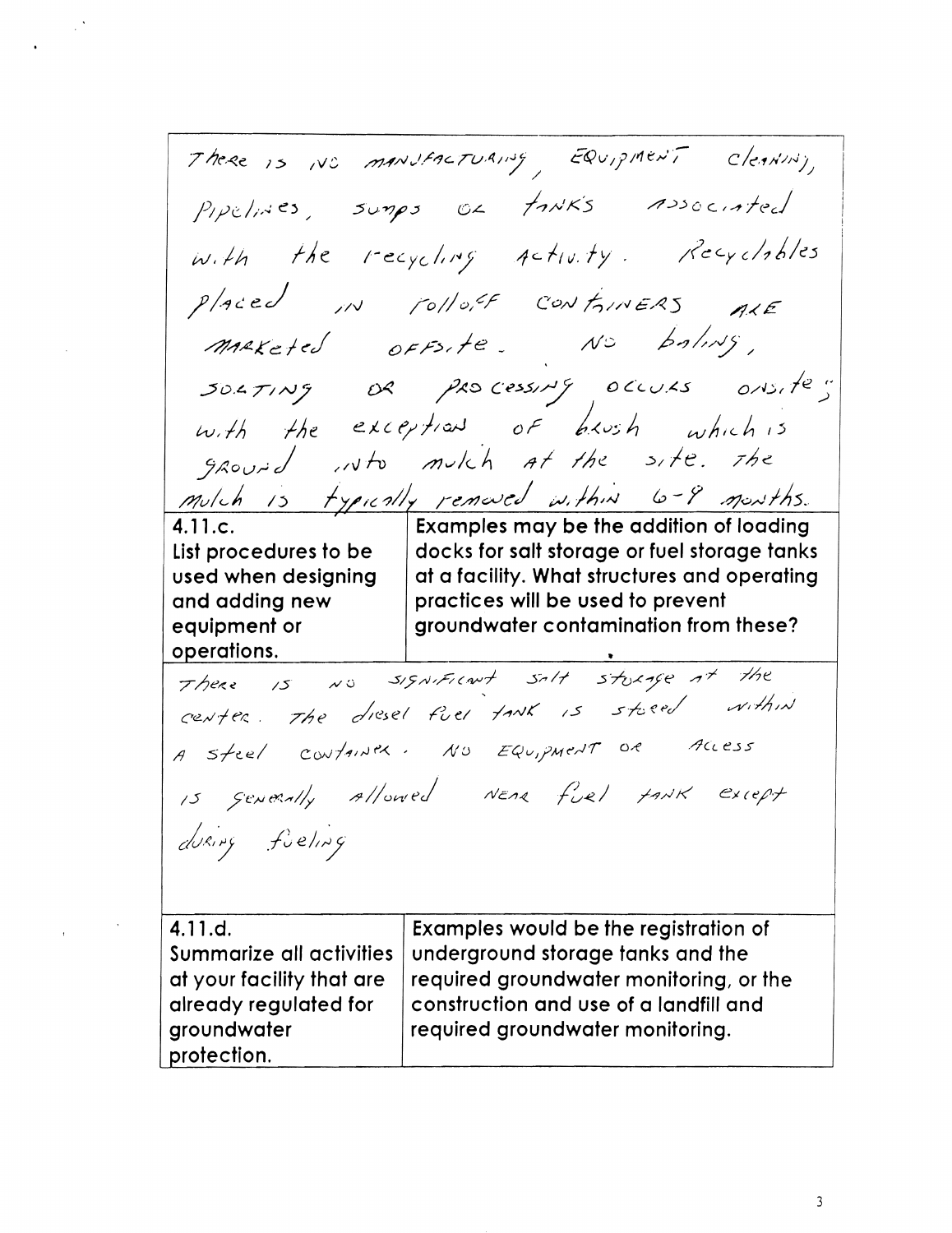There is NO MANUFACTURING EQUIPMENT CLEANING, Pipelines, sumps of tank's Associated with the recycling Activity. Recyclobles Placed in rolloff CONFINERS ALE maketed OFFSITE. NO boling,  $30.471N9$  or  $9.80$  cessing occurs onsite" with the exceptions of brush which is ground into mulch at the site. The mulch is typically removed within 6-9 months. | Examples may be the addition of loading  $4.11.c.$ List procedures to be | docks for salt storage or fuel storage tanks used when designing at a facility. What structures and operating practices will be used to prevent and adding new groundwater contamination from these? equipment or operations. There is NO SISNIFICANT salt storage at the center. The diesel fiel tank is stoced within<br>a steel container. No EQUipment or Access<br>is generally allowed Near fiel tank except<br>diring fieling 4.11.d. Examples would be the registration of Summarize all activities underground storage tanks and the at your facility that are required groundwater monitoring, or the construction and use of a landfill and already regulated for groundwater required groundwater monitoring. protection.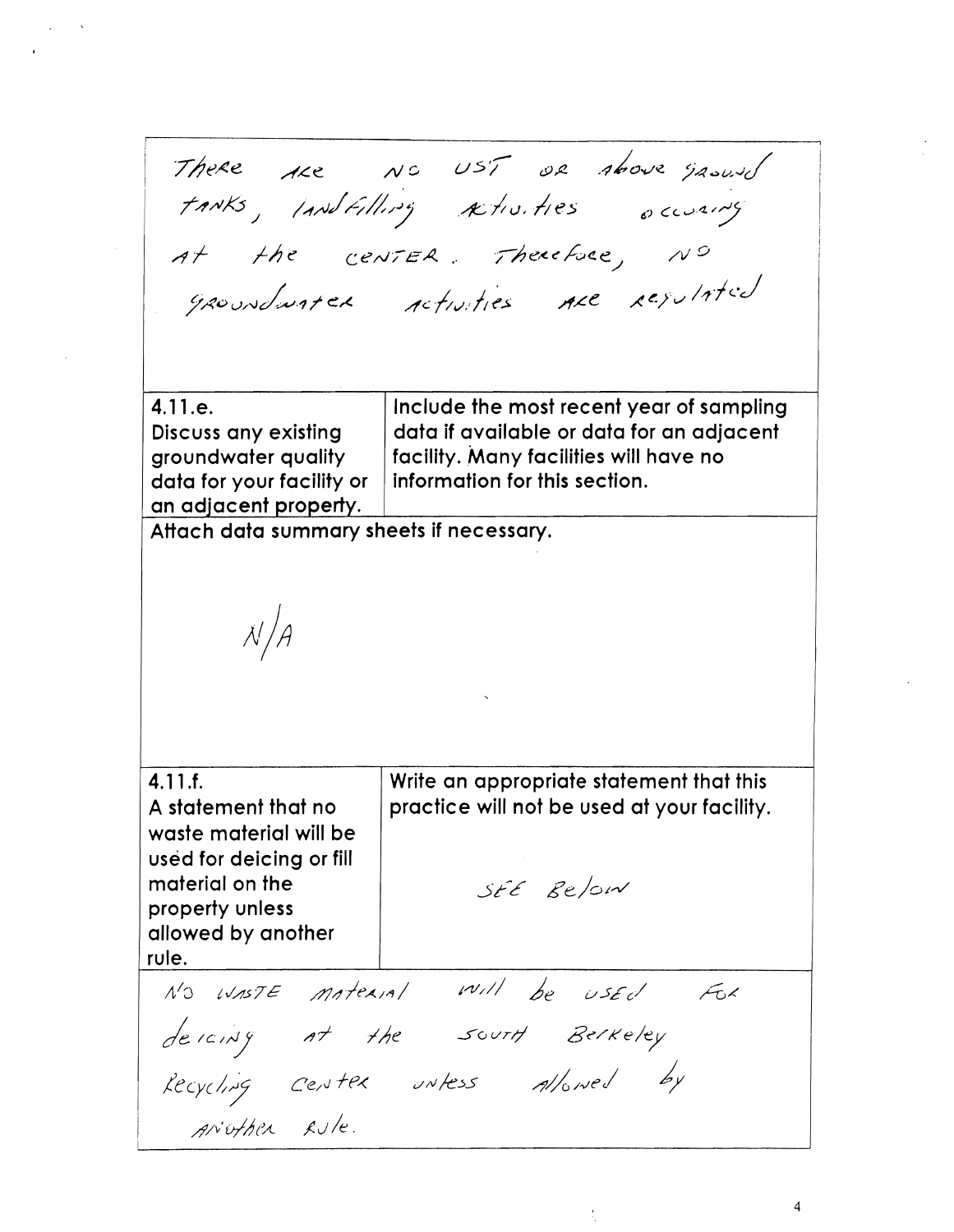There are NC UST OR Above ground at the center. Therefore, NO groundwater retruities are regulated

4.11.e. Include the most recent year of sampling data if available or data for an adjacent Discuss any existing facility. Many facilities will have no groundwater quality information for this section. data for your facility or an adjacent property.

Attach data summary sheets if necessary.

 $4.11.f.$ A statement that no waste material will be used for deicing or fill material on the property unless allowed by another rule.

Write an appropriate statement that this practice will not be used at your facility.

SEE Relow

N'O WASTE MATERIAL WILL be USED FOR<br>descrits at the south Berkeley<br>Recycling Center unless allowed by<br>ANOTHER Rule.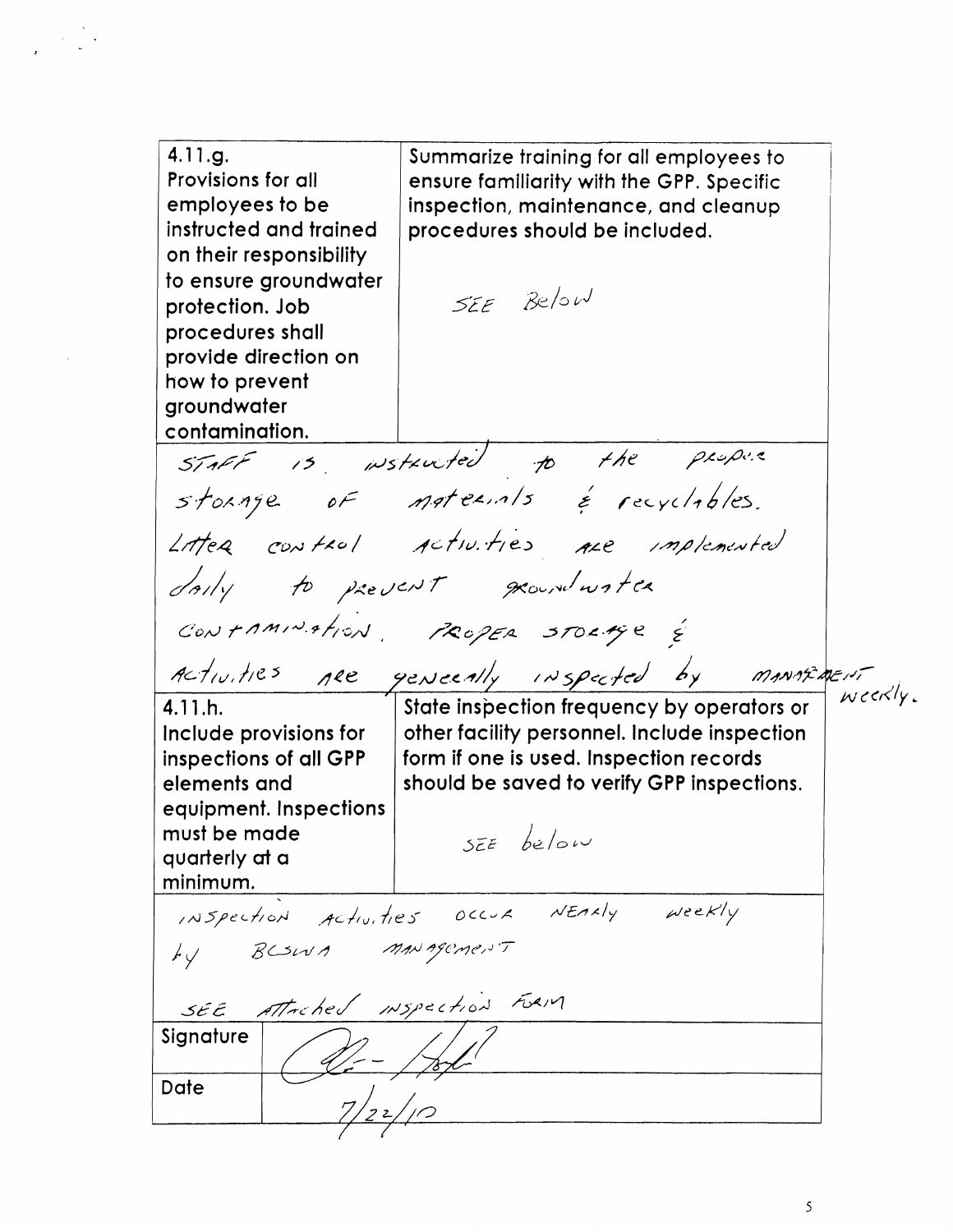4.11.g. Summarize training for all employees to Provisions for all ensure familiarity with the GPP. Specific employees to be inspection, maintenance, and cleanup instructed and trained procedures should be included. on their responsibility to ensure groundwater SEE Below protection. Job procedures shall provide direction on how to prevent groundwater contamination. STAFF is wstruted to the property Litter control activities are implemented dorly to prevent groundwater CONFAMINATION PROPER STORAGE &<br>Activities nee geneeally inspected by manaturent  $wcc \times l \times L$ 

4.11.h. Include provisions for inspections of all GPP elements and equipment. Inspections must be made quarterly at a minimum.

other facility personnel. Include inspection form if one is used. Inspection records should be saved to verify GPP inspections.

 $SEE$  below

INSpection Activities Occur NEARly Weekly SEE Attached INSpection FORM Signature Date

5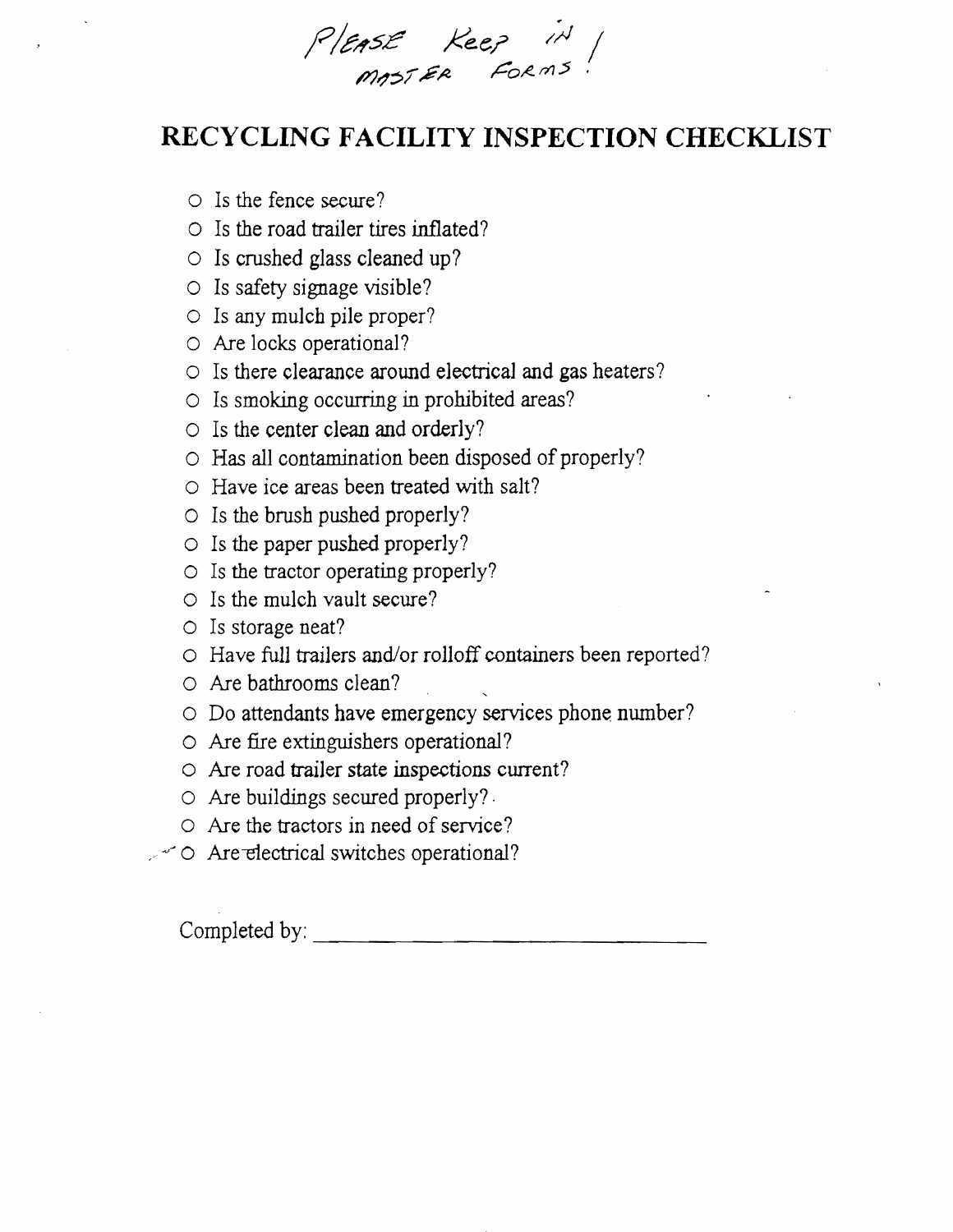PIEASE Keep in

## RECYCLING FACILITY INSPECTION CHECKLIST

- $\circ$  Is the fence secure?
- $\circ$  Is the road trailer tires inflated?
- $\circ$  Is crushed glass cleaned up?
- $\circ$  Is safety signage visible?
- O Is any mulch pile proper?
- O Are locks operational?
- $\circ$  Is there clearance around electrical and gas heaters?
- Is smoking occurring in prohibited areas?
- $\circ$  Is the center clean and orderly?
- O Has all contamination been disposed of properly?
- O Have ice areas been treated with salt?
- $\circ$  Is the brush pushed properly?
- $\circ$  Is the paper pushed properly?
- $\circ$  Is the tractor operating properly?
- $\circ$  Is the mulch vault secure?
- $\circ$  Is storage neat?
- O Have full trailers and/or rolloff containers been reported?
- O Are bathrooms clean?
- O Do attendants have emergency services phone number?
- O Are fire extinguishers operational?
- O Are road trailer state inspections current?
- O Are buildings secured properly?
- O Are the tractors in need of service?
- $\sim$  0 Are electrical switches operational?

Completed by:  $\qquad \qquad \qquad$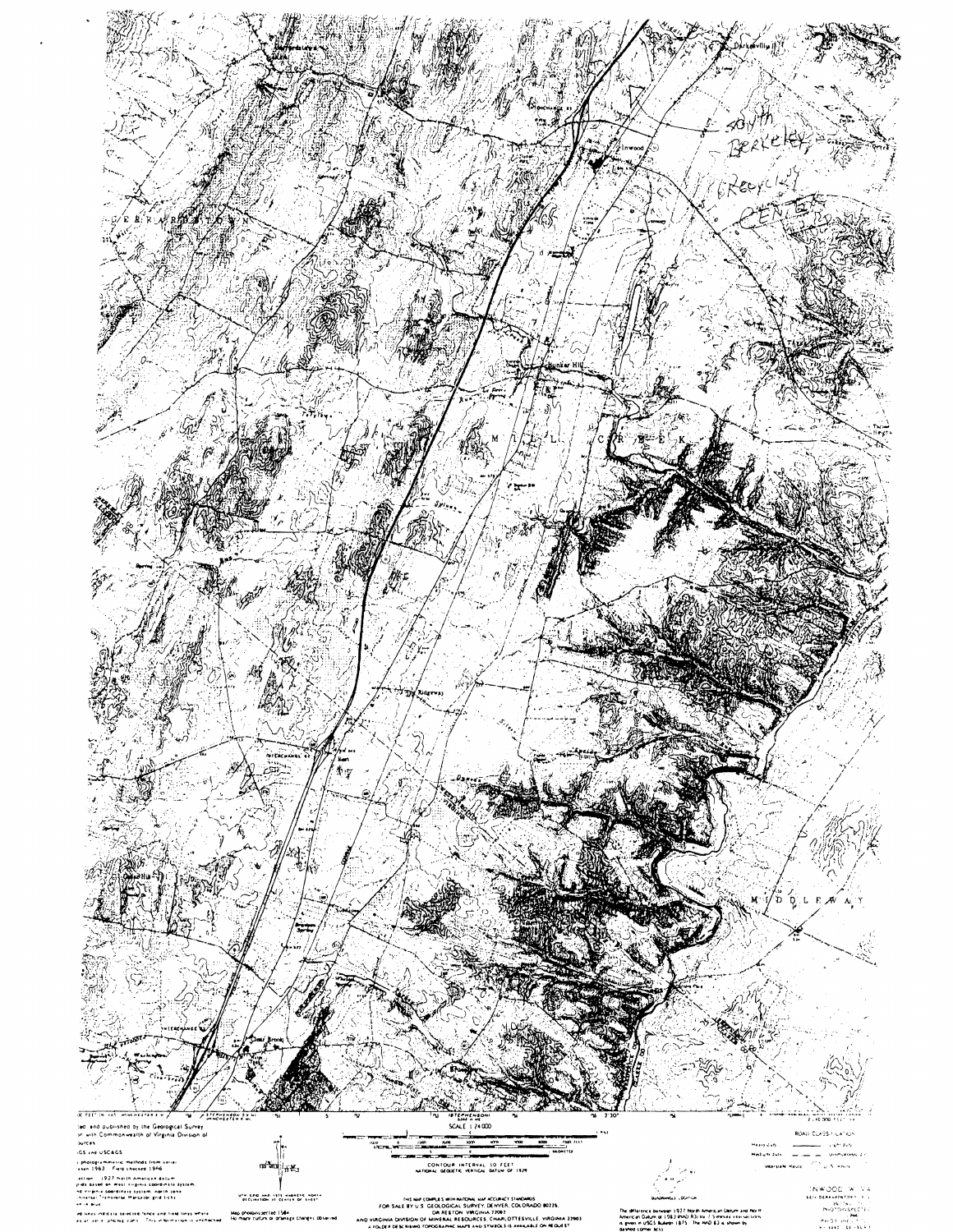